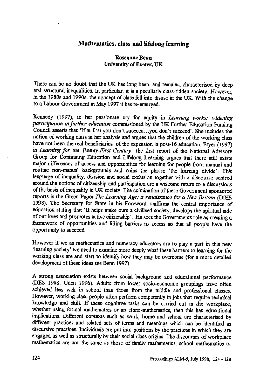## **Mathematics, class and lifelong learning**

## **Roseanne Benn University of Exeter, UK**

**There can be no doubt that the UK has long been, and remains, characterised by deep and structural inequalities. In particular, it is a peculiarly class-ridden society. However, in the 1980s and 1990s, the concept of class fell into disuse in the UK. With the change to a Labour Government in May 1997 it has re-emerged.**

**Kennedy (1997), in her passionate cry for equity in** *Learning works: widening participation in further education* **commissioned by the UK Further Education Funding Council asserts that 'If at first you don't succeed...you don't succeed'. She includes the notion of working class in her analysis and argues that the children of the working class have not been the real beneficiaries of the expansion in post-16 education. Fryer (1997) in** *Learning for the Twenty -First Century* **the first report of the National Advisory Group for Continuing Education and Lifelong Learning argues that there still exists major differences of access and opportunities for learning for people from manual and routine non-manual backgrounds and coins the phrase 'the learning divide'. This language of inequality, division and social exclusion together with a discourse centred around the notions of citizenship and participation are a welcome return to a discussions of the basis of inequality in UK society. The culmination of these Government sponsored reports is the Green Paper** *The Learning Age: a renaissance for a New Britain* **(DfEE 1998). The Secretary for State in his Foreword reaffirms the central importance of education stating that 'It helps make ours a civilised society, develops the spiritual side of our lives and promotes active citizenship'. He sees the Governments role as creating a framework of opportunities and lifting barriers to access so that all people have the opportunity to succeed.**

**However if we as mathematics and numeracy educators are to play a part in this new `learning society' we need to examine more deeply what these barriers to learning for the working class are and start to identify how they may be overcome (for a more detailed development of these ideas see Benn 1997).**

**A strong association exists between social background and educational performance (DES 1988, Uden 1996). Adults from lower socio-economic groupings have often achieved less well in school than those from the middle and professional classes. However, working class people often perform competently in jobs that require technical knowledge and skill. If these cognitive tasks can be carried out in the workplace, whether using formal mathematics or an ethno-mathematics, then this has educational implications. Different contexts such as work, home and school are characterised by different practices and related sets of terms and meanings which can be identified as discursive practices. Individuals are put into positions by the practices in which they are engaged as well as structurally by their social class origins. The discourses of workplace mathematics are not the same as those of family mathematics, school mathematics or**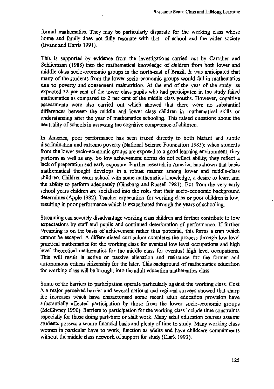**formal mathematics. They may** *be* **particularly disparate for the working class whose home and family does not fully resonate with that of school and the wider society (Evans and Harris 1991).**

**This is supported by evidence from the investigations carried out by Carraher and Schliemann (1988) into the mathematical knowledge of children from both lower and middle class socio-economic groups in the north-east of Brazil. It was anticipated that many of the students from the lower socio-economic groups would fail in mathematics due to poverty and consequent malnutrition. At the end of the year of the study, as expected 32 per cent of the lower class pupils who had participated in the study failed mathematics as compared to 2 per cent of the middle class youths. However, cognitive assessments were also carried out which showed that there were no substantial differences between the middle and lower class children in mathematical skills or understanding after the year of mathematics schooling. This raised questions about the neutrality of schools in assessing the cognitive competence of children.**

**In America, poor performance has been traced directly to both blatant and subtle discrimination and extreme poverty (National Science Foundation 1983): when students from the lower socio-economic groups are exposed to a good learning environment, they perform as well as any. So low achievement norms do not reflect ability; they reflect a lack of preparation and early exposure. Further research in America has shown that basic mathematical thought develops in a robust manner among lower and middle-class children. Children enter school with some mathematics knowledge, a desire to learn and the ability to perform adequately (Ginsburg and Russell 1981). But from the very early school years children are socialised into the roles that their socio-economic background determines (Apple 1982). Teacher expectation for working class or poor children is low, resulting in poor performance which is exacerbated through the years of schooling.**

**Streaming can severely disadvantage working class children and further contribute to low expectations by staff and pupils and continued deterioration of performance. If further streaming is on the basis of achievement rather than potential, this forms a trap which cannot be escaped. A differentiated curriculum completes the process through low level practical mathematics for the working class for eventual low level occupations and high level theoretical mathematics for the middle class for eventual high level occupations. This will result in active or passive alienation and resistance for the former and autonomous critical citizenship for the later. This background of mathematics education for working class will be brought into the adult education mathematics class.**

**Some of the barriers to participation operate particularly against the working class. Cost is a major perceived barrier and several national and regional surveys showed that sharp fee increases which have characterised some recent adult education provision have substantially affected participation by those from the lower socio-economic groups (McGivney 1990). Barriers to participation for the working class include time constraints especially for those doing part-time or shift work. Many adult education courses assume students possess a secure financial basis and plenty of time to study. Many working class women in particular have to work, function as adults and have childcare commitments without the middle class network of support for study (Clark 1993).**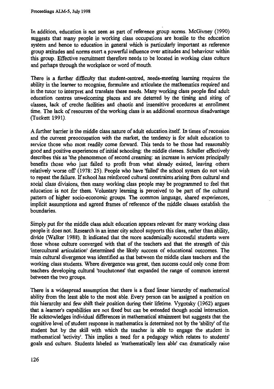**In addition, education is not seen as part of reference group norms. McGivney (1990) suggests that many people in working class occupations are hostile to the education system and hence to education in general which is particularly important as reference group attitudes and norms exert a powerful influence over attitudes and behaviour within this group. Effective recruitment therefore needs to be located in working class culture and perhaps through the workplace or word of mouth.**

**There is a further difficulty that student-centred, needs-meeting learning requires the ability in the learner to recognise, formulate and articulate the mathematics required and in the tutor to interpret and translate these needs. Many working class people find adult education centres unwelcoming places and are deterred by the timing and siting of classes, lack of creche facilities and chaotic and insensitive procedures at enrollment time. The lack of resources of the working class is an additional enormous disadvantage (Tuckett 1991).**

**A further barrier is the middle class nature of adult education itself In times of recession and the current preoccupation with the market, the tendency is for adult education to service those who most readily come forward. This tends to be those had reasonably good and positive experiences of initial schooling: the middle classes. Schuller effectively describes this as 'the phenomenon of second creaming: an increase in services principally benefits those who just failed to profit from what already existed, leaving others relatively worse off (1978: 25). People who have 'failed' the school system do not wish to repeat the failure. If school has reinforced cultural constraints arising from cultural and social class divisions, then many working class people may be programmed to feel that education is not for them. Voluntary learning is perceived to be part of the cultural pattern of higher socio-economic groups. The common language, shared experiences, implicit assumptions and agreed frames of reference of the middle classes establish the boundaries.**

**Simply put for the middle class adult education appears relevant for many working class people it does not. Research in an inner city school supports this class, rather than ability, divide (Walker 1988). It indicated that the more academically successful students were those whose culture converged with that of the teachers and that the strength of this 'intercultural articulation' determined the likely success of educational outcomes. The main cultural divergence was identified as that between the middle class teachers and the working class students. Where divergence was great, then success could only come from teachers developing cultural 'touchstones' that expanded the range of common interest between the two groups.**

**There is a widespread assumption that there is a fixed linear hierarchy of mathematical ability from the least able to the most able. Every person can be assigned a position on this hierarchy and few shift their position during their lifetime. Vygotsky (1962) argues that a learner's capabilities are not fixed but can be extended though social interaction. He acknowledges individual differences in mathematical attainment but suggests that the cognitive level of student response in mathematics is determined not by the 'ability' of the student but by the skill with which the teacher is able to engage the student in mathematical 'activity'. This implies a need for a pedagogy which relates to students' goals and culture. Students labeled as 'mathematically less able' can dramatically raise**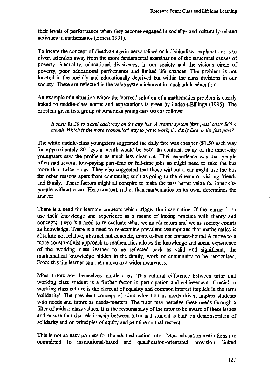**their levels of performance when they become engaged in socially- and culturally-related activities in mathematics (Ernest 1991).**

**To locate the concept of disadvantage in personalised or individualised explanations is to divert attention away from the more fundamental examination of the structural causes of poverty, inequality, educational divisiveness in our society and the vicious circle of poverty, poor educational performance and limited life chances. The problem is not located in the socially and educationally deprived but within the class divisions in our society. These are reflected in the value system inherent in much adult education.**

**An example of a situation where the 'correct' solution of a mathematics problem is clearly linked to middle-class norms and expectations is given by Ladson-Billings (1995). The problem given to a group of American youngsters was as follows:**

*It costs \$1.50 to travel each way on the city bus. A transit system fast pass' costs \$65 a month. Which is the more economical way to get to work, the daily fare or the fast pass?*

**The white middle-class youngsters suggested the daily fare was cheaper (\$1.50 each way for approximately 20 days a month would be \$60). In contrast, many of the inner-city youngsters saw the problem as much less clear cut. Their experience was that people often had several low-paying part-time or full-time jobs so might need to take the bus more than twice a day. They also suggested that those without a car might use the bus for other reasons apart from commuting such as going to the cinema or visiting friends and family. These factors might all conspire to make the pass better value for inner city people without a car. Here context, rather than mathematics on its own, determines the answer.**

**There is a need for learning contexts which trigger the imagination. If the learner is to use their knowledge and experience as a means of linking practice with theory and concepts, there is a need to re-evaluate what we as educators and we as society counts as knowledge. There is a need to re-examine prevalent assumptions that mathematics is absolute not relative, abstract not concrete, context-free not context-bound A move to a more constructivist approach to mathematics allows the knowledge and social experience of the working class learner to be reflected back as valid and significant; the mathematical knowledge hidden in the family, work or community to be recognised. From this the learner can then move to a wider awareness.**

**Most tutors are themselves middle class. This cultural difference between tutor and working class student is a further factor in participation and achievement. Crucial to working class culture is the element of equality and common interest implicit in the term 'solidarity'. The prevalent concept of adult education as needs-driven implies students with needs and tutors as needs-meeters. The tutor may perceive these needs through a filter of middle class values. It is the responsibility of the tutor to be aware of these issues and ensure that the relationship between tutor and student is built on demonstration of solidarity and on principles of equity and genuine mutual respect.**

**This is not an easy process for the adult education tutor. Most education institutions are committed to institutional-based and qualification-orientated provision, linked**